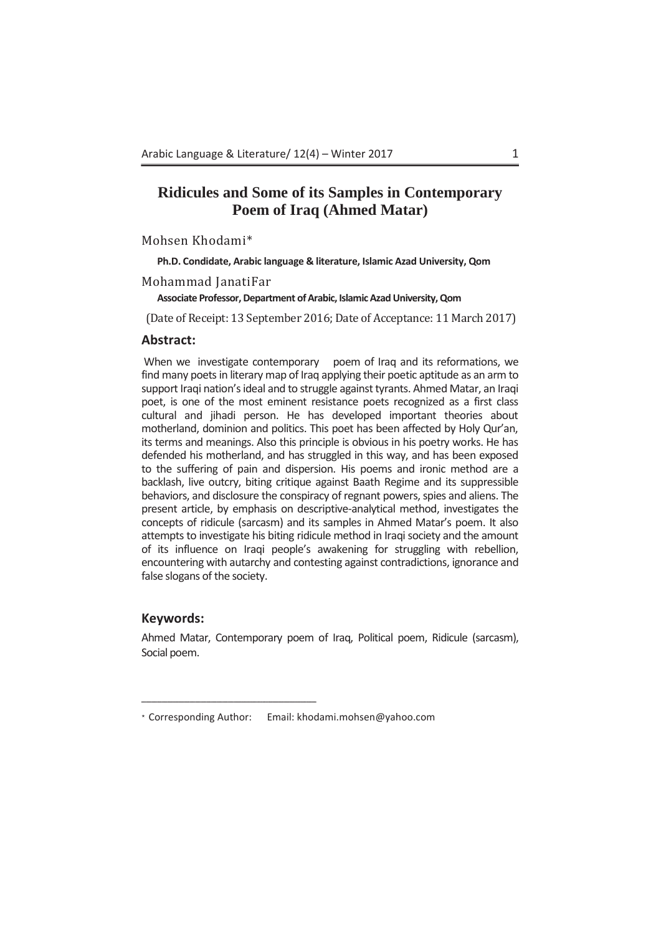### **Ridicules and Some of its Samples in Contemporary Poem of Iraq (Ahmed Matar)**

Mohsen Khodami\*

**Ph.D. Condidate, Arabic language & literature, Islamic Azad University, Qom** 

Mohammad JanatiFar

**Associate Professor, Department of Arabic, Islamic Azad University, Qom** 

(Date of Receipt: 13 September 2016; Date of Acceptance: 11 March 2017)

### **Abstract:**

When we investigate contemporary poem of Iraq and its reformations, we find many poets in literary map of Iraq applying their poetic aptitude as an arm to support Iraqi nation's ideal and to struggle against tyrants. Ahmed Matar, an Iraqi poet, is one of the most eminent resistance poets recognized as a first class cultural and jihadi person. He has developed important theories about motherland, dominion and politics. This poet has been affected by Holy Qur'an, its terms and meanings. Also this principle is obvious in his poetry works. He has defended his motherland, and has struggled in this way, and has been exposed to the suffering of pain and dispersion. His poems and ironic method are a backlash, live outcry, biting critique against Baath Regime and its suppressible behaviors, and disclosure the conspiracy of regnant powers, spies and aliens. The present article, by emphasis on descriptive-analytical method, investigates the concepts of ridicule (sarcasm) and its samples in Ahmed Matar's poem. It also attempts to investigate his biting ridicule method in Iraqi society and the amount of its influence on Iraqi people's awakening for struggling with rebellion, encountering with autarchy and contesting against contradictions, ignorance and false slogans of the society.

### **Keywords:**

Ahmed Matar, Contemporary poem of Iraq, Political poem, Ridicule (sarcasm), Social poem.

<sup>\*</sup> Corresponding Author: Email: khodami.mohsen@yahoo.com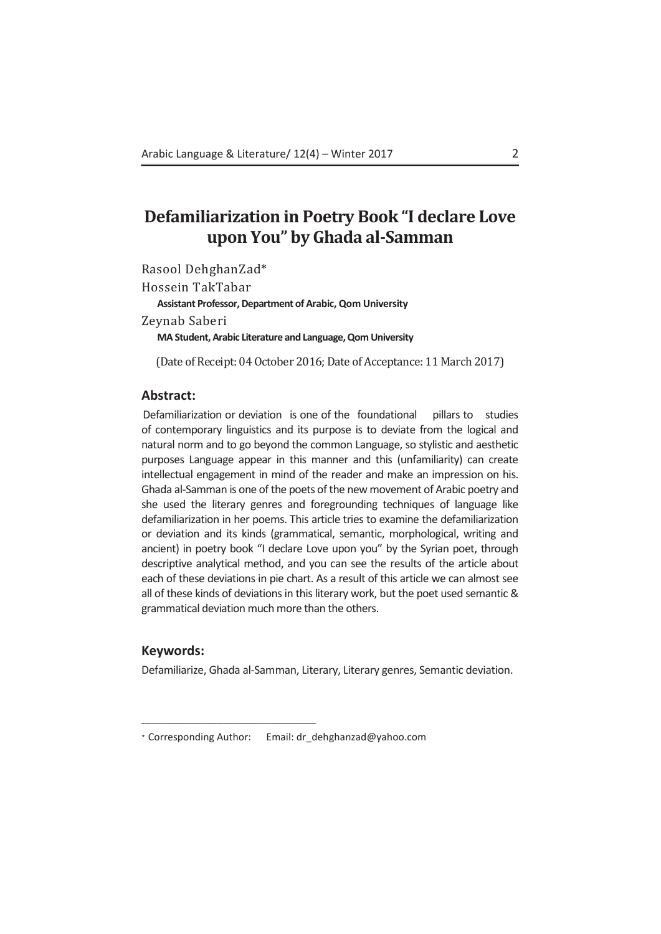## **Defamiliarization in Poetry Book "I declare Love upon You" by Ghada al-Samman**

Rasool DehghanZad\* Hossein TakTabar **Assistant Professor, Department of Arabic, Qom University** Zeynab Saberi **MA Student, Arabic Literature and Language, Qom University** 

(Date of Receipt: 04 October 2016; Date of Acceptance: 11 March 2017)

### **Abstract:**

Defamiliarization or deviation is one of the foundational pillars to studies of contemporary linguistics and its purpose is to deviate from the logical and natural norm and to go beyond the common Language, so stylistic and aesthetic purposes Language appear in this manner and this (unfamiliarity) can create intellectual engagement in mind of the reader and make an impression on his. Ghada al-Samman is one of the poets of the new movement of Arabic poetry and she used the literary genres and foregrounding techniques of language like defamiliarization in her poems. This article tries to examine the defamiliarization or deviation and its kinds (grammatical, semantic, morphological, writing and ancient) in poetry book "I declare Love upon you" by the Syrian poet, through descriptive analytical method, and you can see the results of the article about each of these deviations in pie chart. As a result of this article we can almost see all of these kinds of deviations in this literary work, but the poet used semantic & grammatical deviation much more than the others.

### **Keywords:**

Defamiliarize, Ghada al-Samman, Literary, Literary genres, Semantic deviation.

<sup>\*</sup> Corresponding Author: Email: dr\_dehghanzad@yahoo.com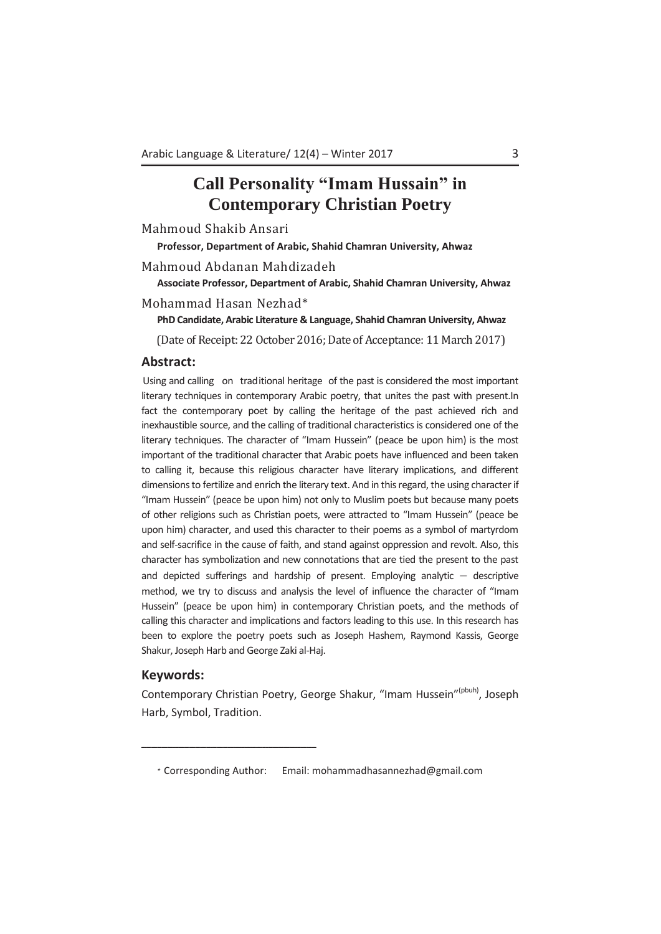## **Call Personality "Imam Hussain" in Contemporary Christian Poetry**

Mahmoud Shakib Ansari

**Professor, Department of Arabic, Shahid Chamran University, Ahwaz** 

Mahmoud Abdanan Mahdizadeh

**Associate Professor, Department of Arabic, Shahid Chamran University, Ahwaz** 

Mohammad Hasan Nezhad\*

**PhD Candidate, Arabic Literature & Language, Shahid Chamran University, Ahwaz**

(Date of Receipt: 22 October 2016; Date of Acceptance: 11 March 2017)

### **Abstract:**

Using and calling on traditional heritage of the past is considered the most important literary techniques in contemporary Arabic poetry, that unites the past with present.In fact the contemporary poet by calling the heritage of the past achieved rich and inexhaustible source, and the calling of traditional characteristics is considered one of the literary techniques. The character of "Imam Hussein" (peace be upon him) is the most important of the traditional character that Arabic poets have influenced and been taken to calling it, because this religious character have literary implications, and different dimensions to fertilize and enrich the literary text. And in this regard, the using character if "Imam Hussein" (peace be upon him) not only to Muslim poets but because many poets of other religions such as Christian poets, were attracted to "Imam Hussein" (peace be upon him) character, and used this character to their poems as a symbol of martyrdom and self-sacrifice in the cause of faith, and stand against oppression and revolt. Also, this character has symbolization and new connotations that are tied the present to the past and depicted sufferings and hardship of present. Employing analytic  $-$  descriptive method, we try to discuss and analysis the level of influence the character of "Imam Hussein" (peace be upon him) in contemporary Christian poets, and the methods of calling this character and implications and factors leading to this use. In this research has been to explore the poetry poets such as Joseph Hashem, Raymond Kassis, George Shakur, Joseph Harb and George Zaki al-Haj.

### **Keywords:**

ºººººººººººººººººººººººººººººººººººººººººººººººººººººººººººººººººººººººººººººººººººººººººººººººººººººººººººººººººººººººººººººººººººººººººººººººººººººººººººº

Contemporary Christian Poetry, George Shakur, "Imam Hussein"<sup>(pbuh)</sup>, Joseph Harb, Symbol, Tradition.

<sup>\*</sup> Corresponding Author: Email: mohammadhasannezhad@gmail.com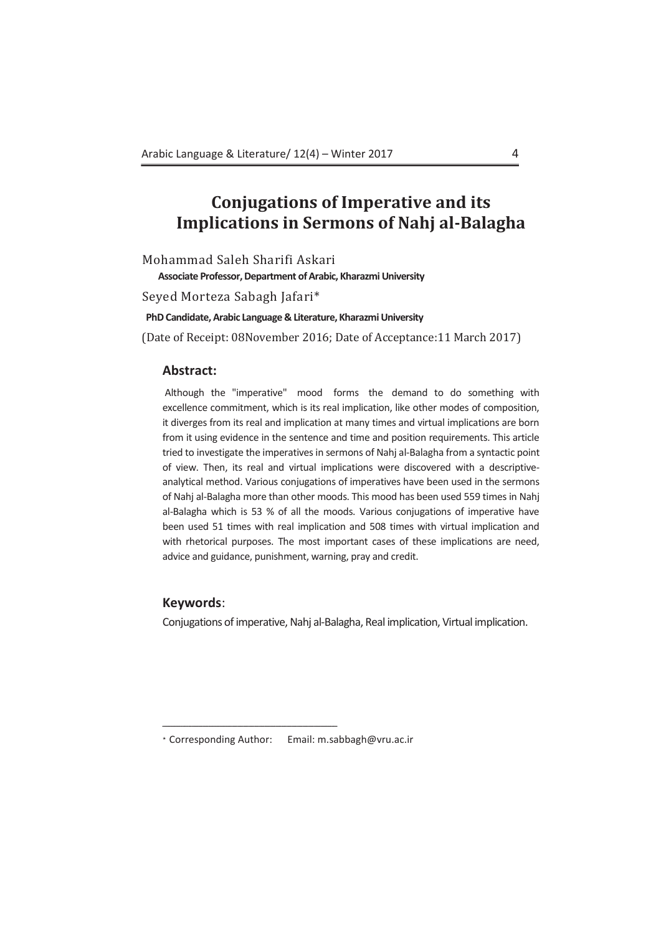# **Conjugations of Imperative and its Implications in Sermons of Nahj al-Balagha**

Mohammad Saleh Sharifi Askari

**Associate Professor, Department of Arabic, Kharazmi University** 

Seyed Morteza Sabagh Jafari\*

**PhD Candidate, Arabic Language & Literature, Kharazmi University**

(Date of Receipt: 08November 2016; Date of Acceptance:11 March 2017)

### **Abstract:**

Although the "imperative" mood forms the demand to do something with excellence commitment, which is its real implication, like other modes of composition, it diverges from its real and implication at many times and virtual implications are born from it using evidence in the sentence and time and position requirements. This article tried to investigate the imperatives in sermons of Nahj al-Balagha from a syntactic point of view. Then, its real and virtual implications were discovered with a descriptiveanalytical method. Various conjugations of imperatives have been used in the sermons of Nahj al-Balagha more than other moods. This mood has been used 559 times in Nahj al-Balagha which is 53 % of all the moods. Various conjugations of imperative have been used 51 times with real implication and 508 times with virtual implication and with rhetorical purposes. The most important cases of these implications are need, advice and guidance, punishment, warning, pray and credit.

### **Keywords**:

Conjugations of imperative, Nahj al-Balagha, Real implication, Virtual implication.

<sup>\*</sup> Corresponding Author: Email: m.sabbagh@vru.ac.ir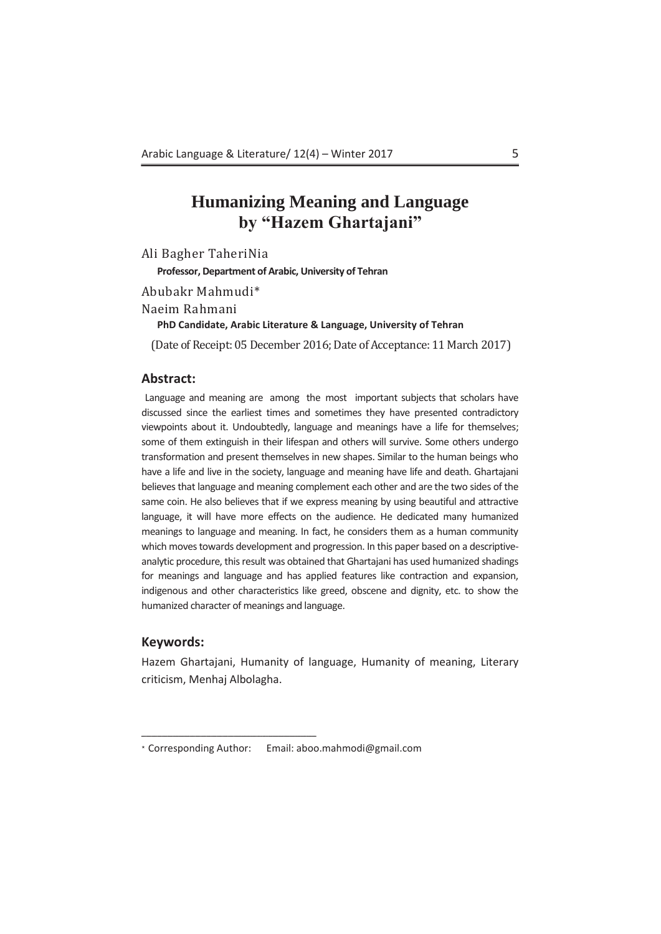## **Humanizing Meaning and Language by "Hazem Ghartajani"**

Ali Bagher TaheriNia

**Professor, Department of Arabic, University of Tehran**

Abubakr Mahmudi\*

Naeim Rahmani

**PhD Candidate, Arabic Literature & Language, University of Tehran** 

(Date of Receipt: 05 December 2016; Date of Acceptance: 11 March 2017)

### **Abstract:**

Language and meaning are among the most important subjects that scholars have discussed since the earliest times and sometimes they have presented contradictory viewpoints about it. Undoubtedly, language and meanings have a life for themselves; some of them extinguish in their lifespan and others will survive. Some others undergo transformation and present themselves in new shapes. Similar to the human beings who have a life and live in the society, language and meaning have life and death. Ghartajani believes that language and meaning complement each other and are the two sides of the same coin. He also believes that if we express meaning by using beautiful and attractive language, it will have more effects on the audience. He dedicated many humanized meanings to language and meaning. In fact, he considers them as a human community which moves towards development and progression. In this paper based on a descriptiveanalytic procedure, this result was obtained that Ghartajani has used humanized shadings for meanings and language and has applied features like contraction and expansion, indigenous and other characteristics like greed, obscene and dignity, etc. to show the humanized character of meanings and language.

### **Keywords:**

Hazem Ghartajani, Humanity of language, Humanity of meaning, Literary criticism, Menhaj Albolagha.

<sup>\*</sup> Corresponding Author: Email: aboo.mahmodi@gmail.com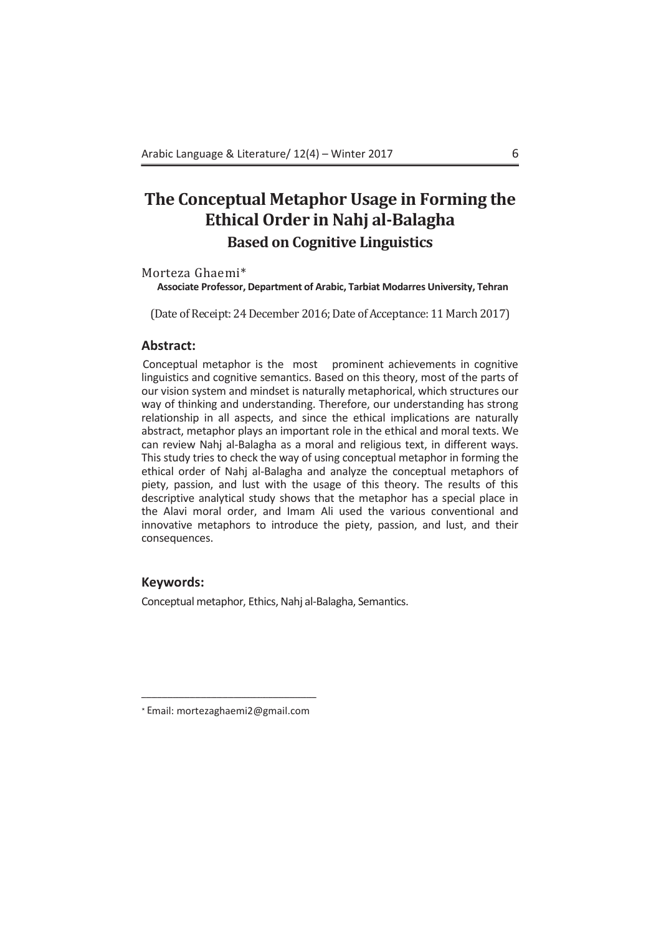## **The Conceptual Metaphor Usage in Forming the Ethical Order in Nahj al-Balagha Based on Cognitive Linguistics**

Morteza Ghaemi\*

**Associate Professor, Department of Arabic, Tarbiat Modarres University, Tehran** 

(Date of Receipt: 24 December 2016: Date of Acceptance: 11 March 2017)

### **Abstract:**

Conceptual metaphor is the most prominent achievements in cognitive linguistics and cognitive semantics. Based on this theory, most of the parts of our vision system and mindset is naturally metaphorical, which structures our way of thinking and understanding. Therefore, our understanding has strong relationship in all aspects, and since the ethical implications are naturally abstract, metaphor plays an important role in the ethical and moral texts. We can review Nahj al-Balagha as a moral and religious text, in different ways. This study tries to check the way of using conceptual metaphor in forming the ethical order of Nahj al-Balagha and analyze the conceptual metaphors of piety, passion, and lust with the usage of this theory. The results of this descriptive analytical study shows that the metaphor has a special place in the Alavi moral order, and Imam Ali used the various conventional and innovative metaphors to introduce the piety, passion, and lust, and their consequences.

### **Keywords:**

Conceptual metaphor, Ethics, Nahj al-Balagha, Semantics.

ºººººººººººººººººººººººººººººººººººººººººººººººººººººººººººººººººººººººººººººººººººººººººººººººººººººººººººººººººººººººººººººººººººººººººººººººººººººººººººº \* Email: mortezaghaemi2@gmail.com